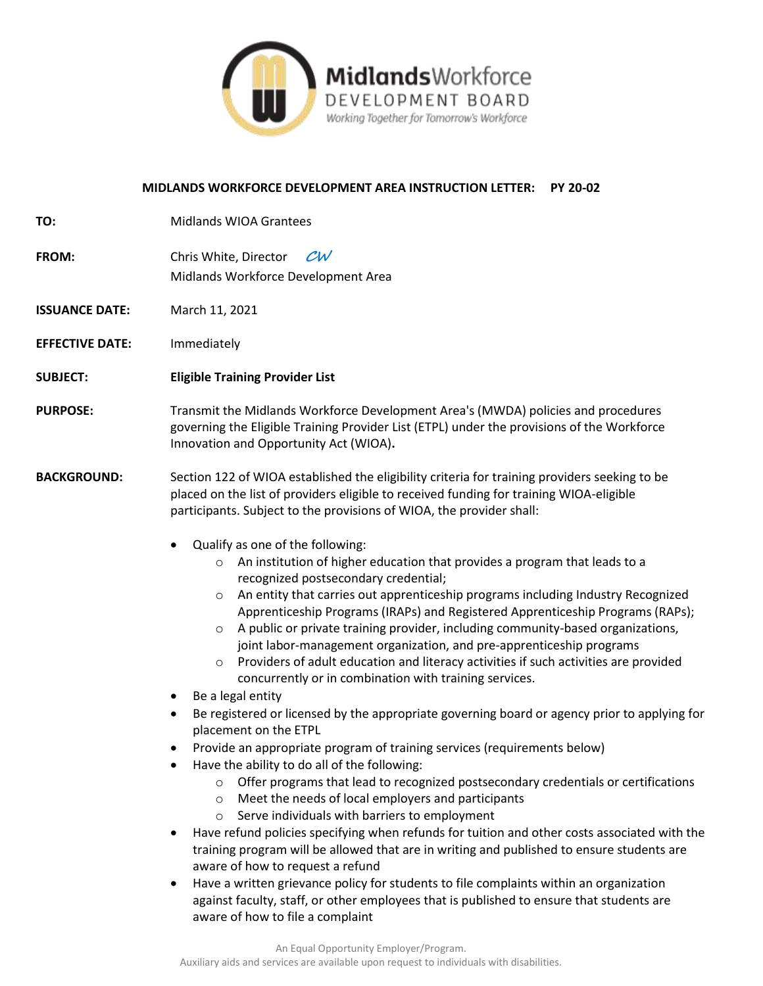

# **MIDLANDS WORKFORCE DEVELOPMENT AREA INSTRUCTION LETTER: PY 20-02**

| TO:                    | <b>Midlands WIOA Grantees</b>                                                                                                                                                                                                                                                                                                                                                                                                                                                                                                                                                                                                                                                                                                                                                                                                                                                                                                                                                                                                                                                                                                                                                                                                                                                                                                                                                                                                                                                                                                                                                                                                                                                                                               |
|------------------------|-----------------------------------------------------------------------------------------------------------------------------------------------------------------------------------------------------------------------------------------------------------------------------------------------------------------------------------------------------------------------------------------------------------------------------------------------------------------------------------------------------------------------------------------------------------------------------------------------------------------------------------------------------------------------------------------------------------------------------------------------------------------------------------------------------------------------------------------------------------------------------------------------------------------------------------------------------------------------------------------------------------------------------------------------------------------------------------------------------------------------------------------------------------------------------------------------------------------------------------------------------------------------------------------------------------------------------------------------------------------------------------------------------------------------------------------------------------------------------------------------------------------------------------------------------------------------------------------------------------------------------------------------------------------------------------------------------------------------------|
| FROM:                  | Chris White, Director<br>$\mathcal{C}$ W<br>Midlands Workforce Development Area                                                                                                                                                                                                                                                                                                                                                                                                                                                                                                                                                                                                                                                                                                                                                                                                                                                                                                                                                                                                                                                                                                                                                                                                                                                                                                                                                                                                                                                                                                                                                                                                                                             |
| <b>ISSUANCE DATE:</b>  | March 11, 2021                                                                                                                                                                                                                                                                                                                                                                                                                                                                                                                                                                                                                                                                                                                                                                                                                                                                                                                                                                                                                                                                                                                                                                                                                                                                                                                                                                                                                                                                                                                                                                                                                                                                                                              |
| <b>EFFECTIVE DATE:</b> | Immediately                                                                                                                                                                                                                                                                                                                                                                                                                                                                                                                                                                                                                                                                                                                                                                                                                                                                                                                                                                                                                                                                                                                                                                                                                                                                                                                                                                                                                                                                                                                                                                                                                                                                                                                 |
| <b>SUBJECT:</b>        | <b>Eligible Training Provider List</b>                                                                                                                                                                                                                                                                                                                                                                                                                                                                                                                                                                                                                                                                                                                                                                                                                                                                                                                                                                                                                                                                                                                                                                                                                                                                                                                                                                                                                                                                                                                                                                                                                                                                                      |
| <b>PURPOSE:</b>        | Transmit the Midlands Workforce Development Area's (MWDA) policies and procedures<br>governing the Eligible Training Provider List (ETPL) under the provisions of the Workforce<br>Innovation and Opportunity Act (WIOA).                                                                                                                                                                                                                                                                                                                                                                                                                                                                                                                                                                                                                                                                                                                                                                                                                                                                                                                                                                                                                                                                                                                                                                                                                                                                                                                                                                                                                                                                                                   |
| <b>BACKGROUND:</b>     | Section 122 of WIOA established the eligibility criteria for training providers seeking to be<br>placed on the list of providers eligible to received funding for training WIOA-eligible<br>participants. Subject to the provisions of WIOA, the provider shall:                                                                                                                                                                                                                                                                                                                                                                                                                                                                                                                                                                                                                                                                                                                                                                                                                                                                                                                                                                                                                                                                                                                                                                                                                                                                                                                                                                                                                                                            |
|                        | Qualify as one of the following:<br>$\bullet$<br>An institution of higher education that provides a program that leads to a<br>$\circ$<br>recognized postsecondary credential;<br>An entity that carries out apprenticeship programs including Industry Recognized<br>$\circ$<br>Apprenticeship Programs (IRAPs) and Registered Apprenticeship Programs (RAPs);<br>A public or private training provider, including community-based organizations,<br>$\circ$<br>joint labor-management organization, and pre-apprenticeship programs<br>Providers of adult education and literacy activities if such activities are provided<br>$\circ$<br>concurrently or in combination with training services.<br>Be a legal entity<br>٠<br>Be registered or licensed by the appropriate governing board or agency prior to applying for<br>٠<br>placement on the ETPL<br>Provide an appropriate program of training services (requirements below)<br>٠<br>Have the ability to do all of the following:<br>$\bullet$<br>Offer programs that lead to recognized postsecondary credentials or certifications<br>$\circ$<br>Meet the needs of local employers and participants<br>$\circ$<br>Serve individuals with barriers to employment<br>$\circ$<br>Have refund policies specifying when refunds for tuition and other costs associated with the<br>$\bullet$<br>training program will be allowed that are in writing and published to ensure students are<br>aware of how to request a refund<br>Have a written grievance policy for students to file complaints within an organization<br>$\bullet$<br>against faculty, staff, or other employees that is published to ensure that students are<br>aware of how to file a complaint |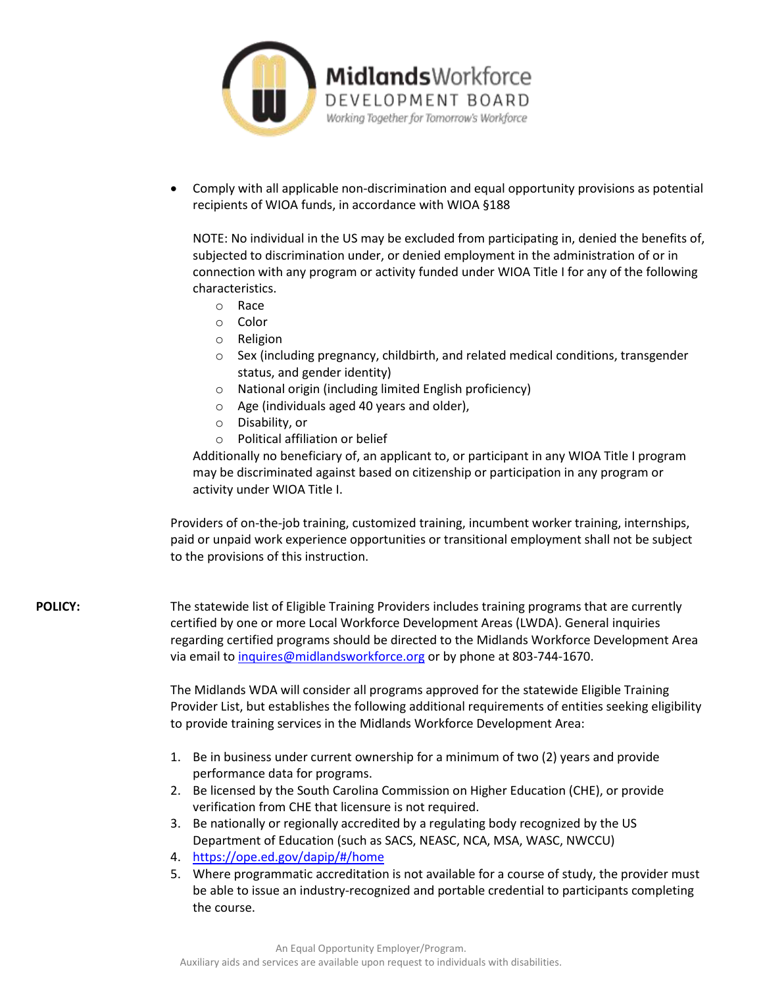

 Comply with all applicable non-discrimination and equal opportunity provisions as potential recipients of WIOA funds, in accordance with WIOA §188

NOTE: No individual in the US may be excluded from participating in, denied the benefits of, subjected to discrimination under, or denied employment in the administration of or in connection with any program or activity funded under WIOA Title I for any of the following characteristics.

- o Race
- o Color
- o Religion
- $\circ$  Sex (including pregnancy, childbirth, and related medical conditions, transgender status, and gender identity)
- o National origin (including limited English proficiency)
- o Age (individuals aged 40 years and older),
- o Disability, or
- o Political affiliation or belief

Additionally no beneficiary of, an applicant to, or participant in any WIOA Title I program may be discriminated against based on citizenship or participation in any program or activity under WIOA Title I.

Providers of on-the-job training, customized training, incumbent worker training, internships, paid or unpaid work experience opportunities or transitional employment shall not be subject to the provisions of this instruction.

POLICY: The statewide list of Eligible Training Providers includes training programs that are currently certified by one or more Local Workforce Development Areas (LWDA). General inquiries regarding certified programs should be directed to the Midlands Workforce Development Area via email to [inquires@midlandsworkforce.org](mailto:inquires@midlandsworkforce.org) or by phone at 803-744-1670.

> The Midlands WDA will consider all programs approved for the statewide Eligible Training Provider List, but establishes the following additional requirements of entities seeking eligibility to provide training services in the Midlands Workforce Development Area:

- 1. Be in business under current ownership for a minimum of two (2) years and provide performance data for programs.
- 2. Be licensed by the South Carolina Commission on Higher Education (CHE), or provide verification from CHE that licensure is not required.
- 3. Be nationally or regionally accredited by a regulating body recognized by the US Department of Education (such as SACS, NEASC, NCA, MSA, WASC, NWCCU)
- 4. <https://ope.ed.gov/dapip/#/home>
- 5. Where programmatic accreditation is not available for a course of study, the provider must be able to issue an industry-recognized and portable credential to participants completing the course.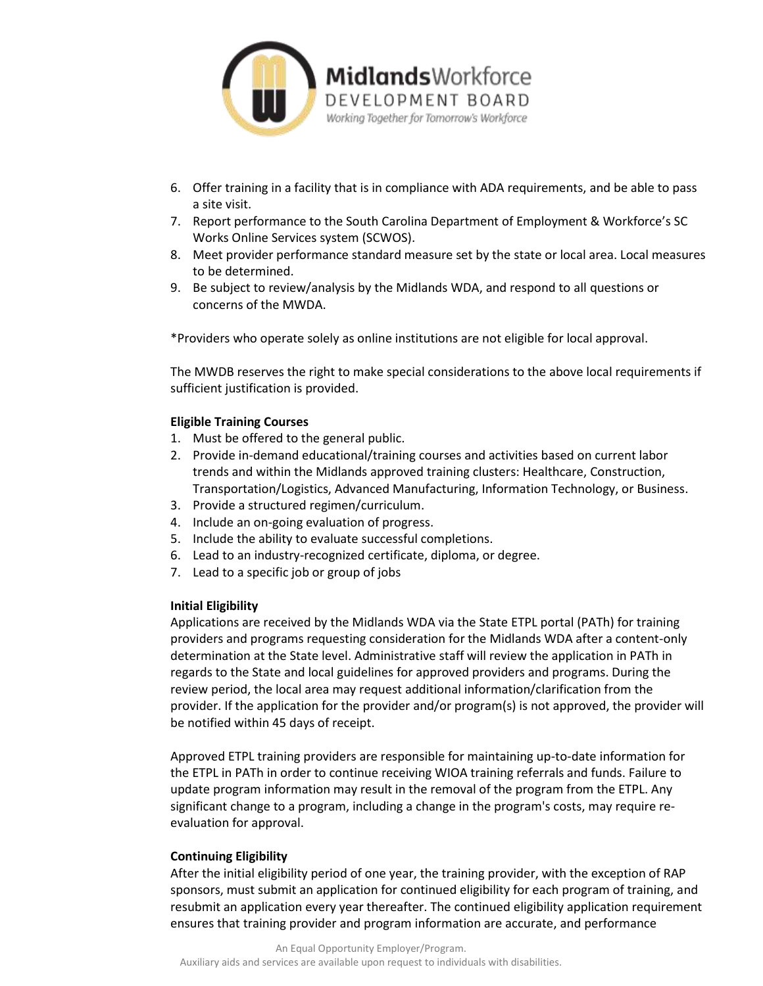

- 6. Offer training in a facility that is in compliance with ADA requirements, and be able to pass a site visit.
- 7. Report performance to the South Carolina Department of Employment & Workforce's SC Works Online Services system (SCWOS).
- 8. Meet provider performance standard measure set by the state or local area. Local measures to be determined.
- 9. Be subject to review/analysis by the Midlands WDA, and respond to all questions or concerns of the MWDA.

\*Providers who operate solely as online institutions are not eligible for local approval.

The MWDB reserves the right to make special considerations to the above local requirements if sufficient justification is provided.

## **Eligible Training Courses**

- 1. Must be offered to the general public.
- 2. Provide in-demand educational/training courses and activities based on current labor trends and within the Midlands approved training clusters: Healthcare, Construction, Transportation/Logistics, Advanced Manufacturing, Information Technology, or Business.
- 3. Provide a structured regimen/curriculum.
- 4. Include an on-going evaluation of progress.
- 5. Include the ability to evaluate successful completions.
- 6. Lead to an industry-recognized certificate, diploma, or degree.
- 7. Lead to a specific job or group of jobs

## **Initial Eligibility**

Applications are received by the Midlands WDA via the State ETPL portal (PATh) for training providers and programs requesting consideration for the Midlands WDA after a content-only determination at the State level. Administrative staff will review the application in PATh in regards to the State and local guidelines for approved providers and programs. During the review period, the local area may request additional information/clarification from the provider. If the application for the provider and/or program(s) is not approved, the provider will be notified within 45 days of receipt.

Approved ETPL training providers are responsible for maintaining up-to-date information for the ETPL in PATh in order to continue receiving WIOA training referrals and funds. Failure to update program information may result in the removal of the program from the ETPL. Any significant change to a program, including a change in the program's costs, may require reevaluation for approval.

## **Continuing Eligibility**

After the initial eligibility period of one year, the training provider, with the exception of RAP sponsors, must submit an application for continued eligibility for each program of training, and resubmit an application every year thereafter. The continued eligibility application requirement ensures that training provider and program information are accurate, and performance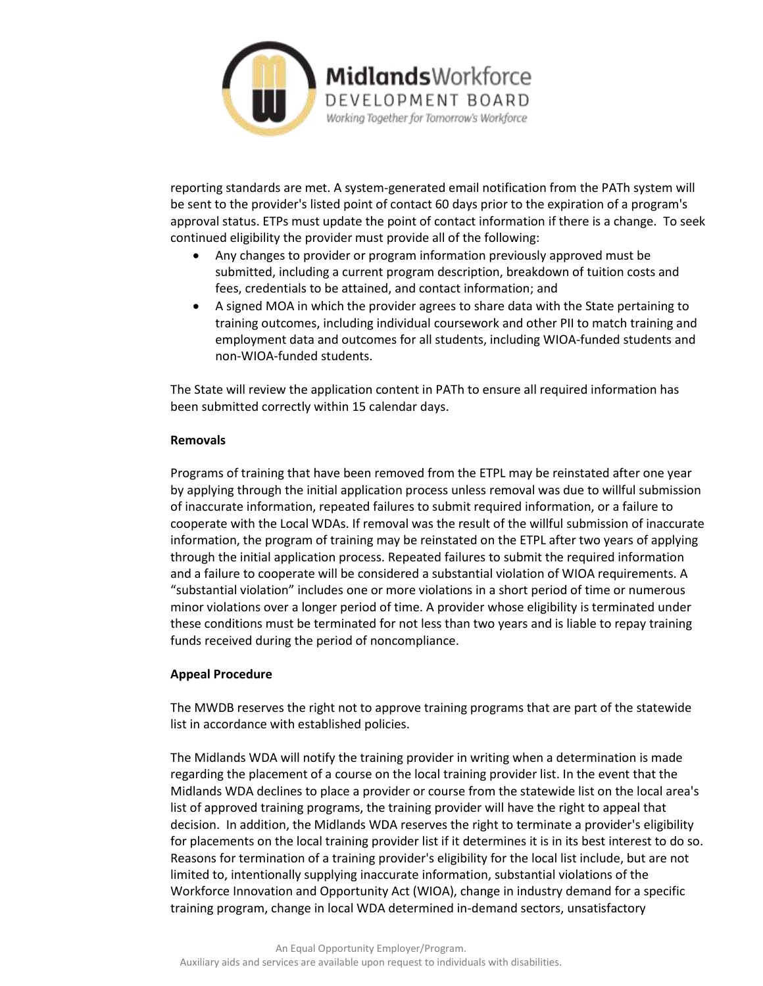

reporting standards are met. A system-generated email notification from the PATh system will be sent to the provider's listed point of contact 60 days prior to the expiration of a program's approval status. ETPs must update the point of contact information if there is a change. To seek continued eligibility the provider must provide all of the following:

- Any changes to provider or program information previously approved must be submitted, including a current program description, breakdown of tuition costs and fees, credentials to be attained, and contact information; and
- A signed MOA in which the provider agrees to share data with the State pertaining to training outcomes, including individual coursework and other PII to match training and employment data and outcomes for all students, including WIOA-funded students and non-WIOA-funded students.

The State will review the application content in PATh to ensure all required information has been submitted correctly within 15 calendar days.

## **Removals**

Programs of training that have been removed from the ETPL may be reinstated after one year by applying through the initial application process unless removal was due to willful submission of inaccurate information, repeated failures to submit required information, or a failure to cooperate with the Local WDAs. If removal was the result of the willful submission of inaccurate information, the program of training may be reinstated on the ETPL after two years of applying through the initial application process. Repeated failures to submit the required information and a failure to cooperate will be considered a substantial violation of WIOA requirements. A "substantial violation" includes one or more violations in a short period of time or numerous minor violations over a longer period of time. A provider whose eligibility is terminated under these conditions must be terminated for not less than two years and is liable to repay training funds received during the period of noncompliance.

## **Appeal Procedure**

The MWDB reserves the right not to approve training programs that are part of the statewide list in accordance with established policies.

The Midlands WDA will notify the training provider in writing when a determination is made regarding the placement of a course on the local training provider list. In the event that the Midlands WDA declines to place a provider or course from the statewide list on the local area's list of approved training programs, the training provider will have the right to appeal that decision. In addition, the Midlands WDA reserves the right to terminate a provider's eligibility for placements on the local training provider list if it determines it is in its best interest to do so. Reasons for termination of a training provider's eligibility for the local list include, but are not limited to, intentionally supplying inaccurate information, substantial violations of the Workforce Innovation and Opportunity Act (WIOA), change in industry demand for a specific training program, change in local WDA determined in-demand sectors, unsatisfactory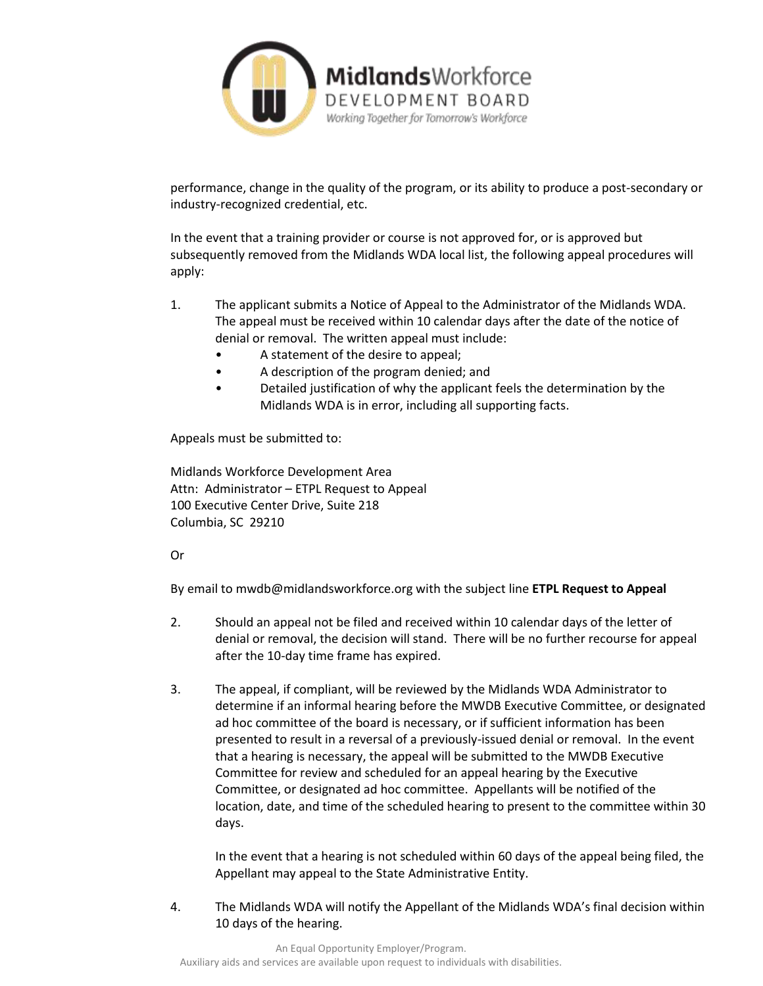

performance, change in the quality of the program, or its ability to produce a post-secondary or industry-recognized credential, etc.

In the event that a training provider or course is not approved for, or is approved but subsequently removed from the Midlands WDA local list, the following appeal procedures will apply:

- 1. The applicant submits a Notice of Appeal to the Administrator of the Midlands WDA. The appeal must be received within 10 calendar days after the date of the notice of denial or removal. The written appeal must include:
	- A statement of the desire to appeal;
	- A description of the program denied; and
	- Detailed justification of why the applicant feels the determination by the Midlands WDA is in error, including all supporting facts.

Appeals must be submitted to:

Midlands Workforce Development Area Attn: Administrator – ETPL Request to Appeal 100 Executive Center Drive, Suite 218 Columbia, SC 29210

## Or

By email to mwdb@midlandsworkforce.org with the subject line **ETPL Request to Appeal**

- 2. Should an appeal not be filed and received within 10 calendar days of the letter of denial or removal, the decision will stand. There will be no further recourse for appeal after the 10-day time frame has expired.
- 3. The appeal, if compliant, will be reviewed by the Midlands WDA Administrator to determine if an informal hearing before the MWDB Executive Committee, or designated ad hoc committee of the board is necessary, or if sufficient information has been presented to result in a reversal of a previously-issued denial or removal. In the event that a hearing is necessary, the appeal will be submitted to the MWDB Executive Committee for review and scheduled for an appeal hearing by the Executive Committee, or designated ad hoc committee. Appellants will be notified of the location, date, and time of the scheduled hearing to present to the committee within 30 days.

In the event that a hearing is not scheduled within 60 days of the appeal being filed, the Appellant may appeal to the State Administrative Entity.

4. The Midlands WDA will notify the Appellant of the Midlands WDA's final decision within 10 days of the hearing.